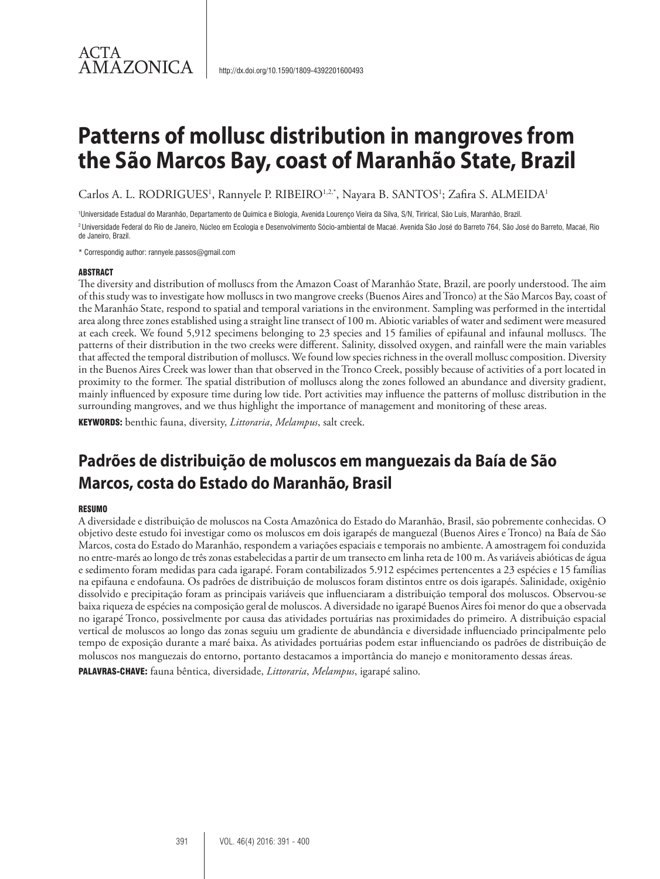# **Patterns of mollusc distribution in mangroves from the São Marcos Bay, coast of Maranhão State, Brazil**

Carlos A. L. RODRIGUES<sup>1</sup>, Rannyele P. RIBEIRO<sup>1,2,\*</sup>, Nayara B. SANTOS<sup>1</sup>; Zafira S. ALMEIDA<sup>1</sup>

1 Universidade Estadual do Maranhão, Departamento de Química e Biologia, Avenida Lourenço Vieira da Silva, S/N, Tirirical, São Luís, Maranhão, Brazil. <sup>2</sup> Universidade Federal do Rio de Janeiro, Núcleo em Ecologia e Desenvolvimento Sócio-ambiental de Macaé. Avenida São José do Barreto 764, São José do Barreto, Macaé, Rio de Janeiro, Brazil.

\* Correspondig author: rannyele.passos@gmail.com

#### ABSTRACT

ACTA

AMAZONICA

The diversity and distribution of molluscs from the Amazon Coast of Maranhão State, Brazil, are poorly understood. The aim of this study was to investigate how molluscs in two mangrove creeks (Buenos Aires and Tronco) at the São Marcos Bay, coast of the Maranhão State, respond to spatial and temporal variations in the environment. Sampling was performed in the intertidal area along three zones established using a straight line transect of 100 m. Abiotic variables of water and sediment were measured at each creek. We found 5,912 specimens belonging to 23 species and 15 families of epifaunal and infaunal molluscs. The patterns of their distribution in the two creeks were different. Salinity, dissolved oxygen, and rainfall were the main variables that affected the temporal distribution of molluscs. We found low species richness in the overall mollusc composition. Diversity in the Buenos Aires Creek was lower than that observed in the Tronco Creek, possibly because of activities of a port located in proximity to the former. The spatial distribution of molluscs along the zones followed an abundance and diversity gradient, mainly influenced by exposure time during low tide. Port activities may influence the patterns of mollusc distribution in the surrounding mangroves, and we thus highlight the importance of management and monitoring of these areas.

KEYWORDS: benthic fauna, diversity, *Littoraria*, *Melampus*, salt creek.

## **Padrões de distribuição de moluscos em manguezais da Baía de São Marcos, costa do Estado do Maranhão, Brasil**

#### **RESUMO**

A diversidade e distribuição de moluscos na Costa Amazônica do Estado do Maranhão, Brasil, são pobremente conhecidas. O objetivo deste estudo foi investigar como os moluscos em dois igarapés de manguezal (Buenos Aires e Tronco) na Baía de São Marcos, costa do Estado do Maranhão, respondem a variações espaciais e temporais no ambiente. A amostragem foi conduzida no entre-marés ao longo de três zonas estabelecidas a partir de um transecto em linha reta de 100 m. As variáveis abióticas de água e sedimento foram medidas para cada igarapé. Foram contabilizados 5.912 espécimes pertencentes a 23 espécies e 15 famílias na epifauna e endofauna. Os padrões de distribuição de moluscos foram distintos entre os dois igarapés. Salinidade, oxigênio dissolvido e precipitação foram as principais variáveis que influenciaram a distribuição temporal dos moluscos. Observou-se baixa riqueza de espécies na composição geral de moluscos. A diversidade no igarapé Buenos Aires foi menor do que a observada no igarapé Tronco, possivelmente por causa das atividades portuárias nas proximidades do primeiro. A distribuição espacial vertical de moluscos ao longo das zonas seguiu um gradiente de abundância e diversidade influenciado principalmente pelo tempo de exposição durante a maré baixa. As atividades portuárias podem estar influenciando os padrões de distribuição de moluscos nos manguezais do entorno, portanto destacamos a importância do manejo e monitoramento dessas áreas. PALAVRAS-CHAVE: fauna bêntica, diversidade, *Littoraria*, *Melampus*, igarapé salino.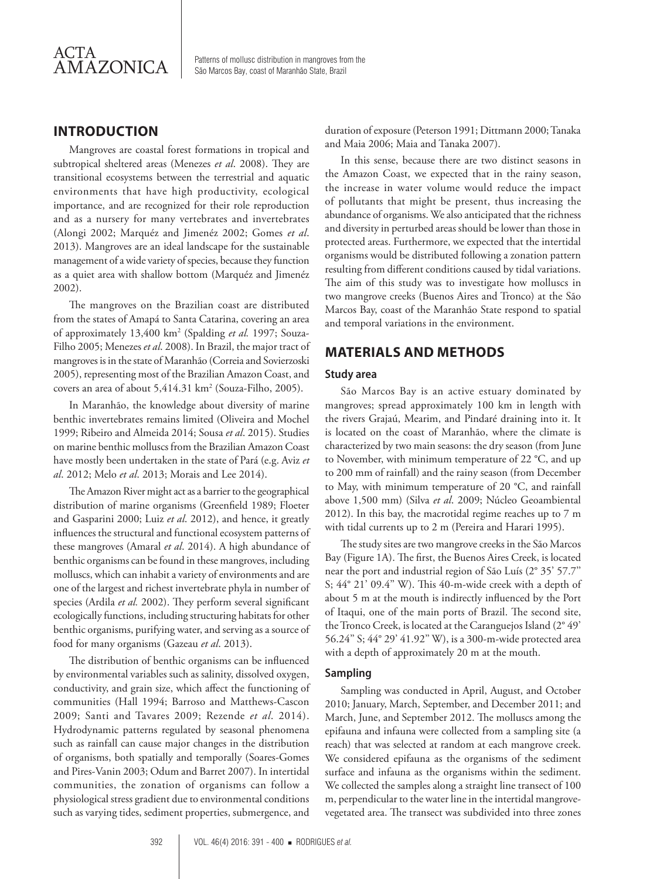

Patterns of mollusc distribution in mangroves from the São Marcos Bay, coast of Maranhão State, Brazil

## **INTRODUCTION**

Mangroves are coastal forest formations in tropical and subtropical sheltered areas (Menezes *et al*. 2008). They are transitional ecosystems between the terrestrial and aquatic environments that have high productivity, ecological importance, and are recognized for their role reproduction and as a nursery for many vertebrates and invertebrates (Alongi 2002; Marquéz and Jimenéz 2002; Gomes *et al*. 2013). Mangroves are an ideal landscape for the sustainable management of a wide variety of species, because they function as a quiet area with shallow bottom (Marquéz and Jimenéz 2002).

The mangroves on the Brazilian coast are distributed from the states of Amapá to Santa Catarina, covering an area of approximately 13,400 km2 (Spalding *et al.* 1997; Souza-Filho 2005; Menezes *et al*. 2008). In Brazil, the major tract of mangroves is in the state of Maranhão (Correia and Sovierzoski 2005), representing most of the Brazilian Amazon Coast, and covers an area of about 5,414.31 km2 (Souza-Filho, 2005).

In Maranhão, the knowledge about diversity of marine benthic invertebrates remains limited (Oliveira and Mochel 1999; Ribeiro and Almeida 2014; Sousa *et al*. 2015). Studies on marine benthic molluscs from the Brazilian Amazon Coast have mostly been undertaken in the state of Pará (e.g. Aviz *et al*. 2012; Melo *et al*. 2013; Morais and Lee 2014).

The Amazon River might act as a barrier to the geographical distribution of marine organisms (Greenfield 1989; Floeter and Gasparini 2000; Luiz *et al*. 2012), and hence, it greatly influences the structural and functional ecosystem patterns of these mangroves (Amaral *et al*. 2014). A high abundance of benthic organisms can be found in these mangroves, including molluscs, which can inhabit a variety of environments and are one of the largest and richest invertebrate phyla in number of species (Ardila *et al.* 2002). They perform several significant ecologically functions, including structuring habitats for other benthic organisms, purifying water, and serving as a source of food for many organisms (Gazeau *et al*. 2013).

The distribution of benthic organisms can be influenced by environmental variables such as salinity, dissolved oxygen, conductivity, and grain size, which affect the functioning of communities (Hall 1994; Barroso and Matthews-Cascon 2009; Santi and Tavares 2009; Rezende *et al*. 2014). Hydrodynamic patterns regulated by seasonal phenomena such as rainfall can cause major changes in the distribution of organisms, both spatially and temporally (Soares-Gomes and Pires-Vanin 2003; Odum and Barret 2007). In intertidal communities, the zonation of organisms can follow a physiological stress gradient due to environmental conditions such as varying tides, sediment properties, submergence, and duration of exposure (Peterson 1991; Dittmann 2000; Tanaka and Maia 2006; Maia and Tanaka 2007).

In this sense, because there are two distinct seasons in the Amazon Coast, we expected that in the rainy season, the increase in water volume would reduce the impact of pollutants that might be present, thus increasing the abundance of organisms. We also anticipated that the richness and diversity in perturbed areas should be lower than those in protected areas. Furthermore, we expected that the intertidal organisms would be distributed following a zonation pattern resulting from different conditions caused by tidal variations. The aim of this study was to investigate how molluscs in two mangrove creeks (Buenos Aires and Tronco) at the São Marcos Bay, coast of the Maranhão State respond to spatial and temporal variations in the environment.

## **MATERIALS AND METHODS**

#### **Study area**

São Marcos Bay is an active estuary dominated by mangroves; spread approximately 100 km in length with the rivers Grajaú, Mearim, and Pindaré draining into it. It is located on the coast of Maranhão, where the climate is characterized by two main seasons: the dry season (from June to November, with minimum temperature of 22 °C, and up to 200 mm of rainfall) and the rainy season (from December to May, with minimum temperature of 20 °C, and rainfall above 1,500 mm) (Silva *et al*. 2009; Núcleo Geoambiental 2012). In this bay, the macrotidal regime reaches up to 7 m with tidal currents up to 2 m (Pereira and Harari 1995).

The study sites are two mangrove creeks in the São Marcos Bay (Figure 1A). The first, the Buenos Aires Creek, is located near the port and industrial region of São Luís (2° 35' 57.7'' S; 44° 21' 09.4'' W). This 40-m-wide creek with a depth of about 5 m at the mouth is indirectly influenced by the Port of Itaqui, one of the main ports of Brazil. The second site, the Tronco Creek, is located at the Caranguejos Island (2° 49' 56.24'' S; 44° 29' 41.92'' W), is a 300-m-wide protected area with a depth of approximately 20 m at the mouth.

#### **Sampling**

Sampling was conducted in April, August, and October 2010; January, March, September, and December 2011; and March, June, and September 2012. The molluscs among the epifauna and infauna were collected from a sampling site (a reach) that was selected at random at each mangrove creek. We considered epifauna as the organisms of the sediment surface and infauna as the organisms within the sediment. We collected the samples along a straight line transect of 100 m, perpendicular to the water line in the intertidal mangrovevegetated area. The transect was subdivided into three zones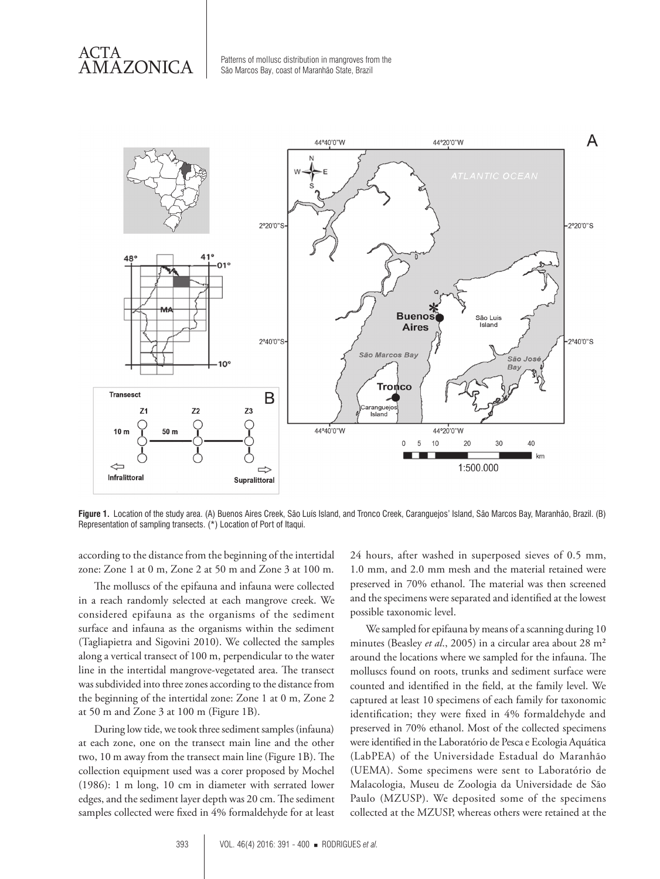ACTA

 $AMAZONICA$  Patterns of mollusc distribution in mangroves from the São Marcos Bay, coast of Maranhão State, Brazil



**Figure 1.** Location of the study area. (A) Buenos Aires Creek, São Luís Island, and Tronco Creek, Caranguejos' Island, São Marcos Bay, Maranhão, Brazil. (B) Representation of sampling transects. (\*) Location of Port of Itaqui.

according to the distance from the beginning of the intertidal zone: Zone 1 at 0 m, Zone 2 at 50 m and Zone 3 at 100 m.

The molluscs of the epifauna and infauna were collected in a reach randomly selected at each mangrove creek. We considered epifauna as the organisms of the sediment surface and infauna as the organisms within the sediment (Tagliapietra and Sigovini 2010). We collected the samples along a vertical transect of 100 m, perpendicular to the water line in the intertidal mangrove-vegetated area. The transect was subdivided into three zones according to the distance from the beginning of the intertidal zone: Zone 1 at 0 m, Zone 2 at 50 m and Zone 3 at 100 m (Figure 1B).

During low tide, we took three sediment samples (infauna) at each zone, one on the transect main line and the other two, 10 m away from the transect main line (Figure 1B). The collection equipment used was a corer proposed by Mochel (1986): 1 m long, 10 cm in diameter with serrated lower edges, and the sediment layer depth was 20 cm. The sediment samples collected were fixed in 4% formaldehyde for at least

24 hours, after washed in superposed sieves of 0.5 mm, 1.0 mm, and 2.0 mm mesh and the material retained were preserved in 70% ethanol. The material was then screened and the specimens were separated and identified at the lowest possible taxonomic level.

We sampled for epifauna by means of a scanning during 10 minutes (Beasley *et al*., 2005) in a circular area about 28 m² around the locations where we sampled for the infauna. The molluscs found on roots, trunks and sediment surface were counted and identified in the field, at the family level. We captured at least 10 specimens of each family for taxonomic identification; they were fixed in 4% formaldehyde and preserved in 70% ethanol. Most of the collected specimens were identified in the Laboratório de Pesca e Ecologia Aquática (LabPEA) of the Universidade Estadual do Maranhão (UEMA). Some specimens were sent to Laboratório de Malacologia, Museu de Zoologia da Universidade de São Paulo (MZUSP). We deposited some of the specimens collected at the MZUSP, whereas others were retained at the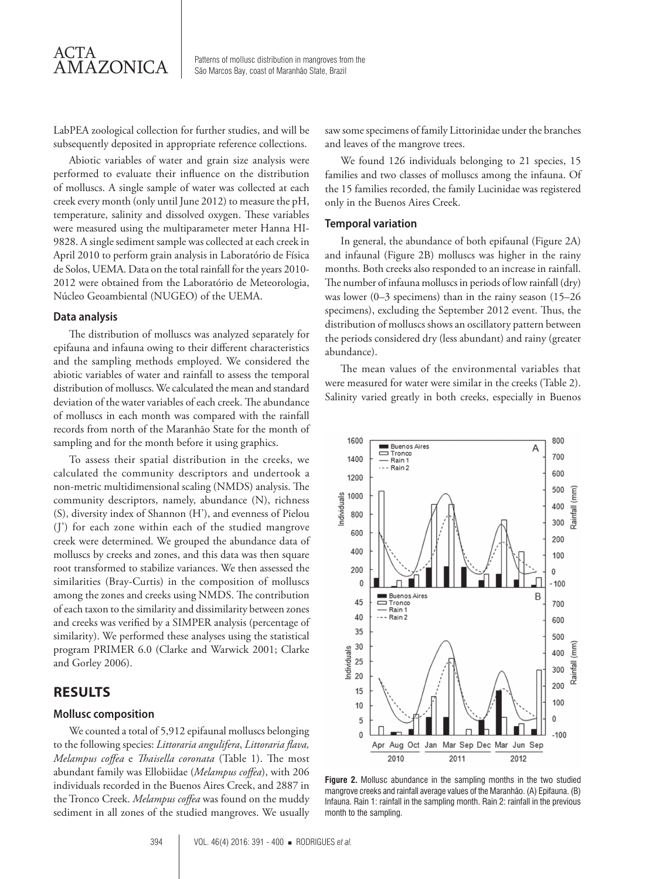LabPEA zoological collection for further studies, and will be subsequently deposited in appropriate reference collections.

Abiotic variables of water and grain size analysis were performed to evaluate their influence on the distribution of molluscs. A single sample of water was collected at each creek every month (only until June 2012) to measure the pH, temperature, salinity and dissolved oxygen. These variables were measured using the multiparameter meter Hanna HI-9828. A single sediment sample was collected at each creek in April 2010 to perform grain analysis in Laboratório de Física de Solos, UEMA. Data on the total rainfall for the years 2010- 2012 were obtained from the Laboratório de Meteorologia, Núcleo Geoambiental (NUGEO) of the UEMA.

#### **Data analysis**

The distribution of molluscs was analyzed separately for epifauna and infauna owing to their different characteristics and the sampling methods employed. We considered the abiotic variables of water and rainfall to assess the temporal distribution of molluscs. We calculated the mean and standard deviation of the water variables of each creek. The abundance of molluscs in each month was compared with the rainfall records from north of the Maranhão State for the month of sampling and for the month before it using graphics.

To assess their spatial distribution in the creeks, we calculated the community descriptors and undertook a non-metric multidimensional scaling (NMDS) analysis. The community descriptors, namely, abundance (N), richness (S), diversity index of Shannon (H'), and evenness of Pielou (J') for each zone within each of the studied mangrove creek were determined. We grouped the abundance data of molluscs by creeks and zones, and this data was then square root transformed to stabilize variances. We then assessed the similarities (Bray-Curtis) in the composition of molluscs among the zones and creeks using NMDS. The contribution of each taxon to the similarity and dissimilarity between zones and creeks was verified by a SIMPER analysis (percentage of similarity). We performed these analyses using the statistical program PRIMER 6.0 (Clarke and Warwick 2001; Clarke and Gorley 2006).

## **RESULTS**

#### **Mollusc composition**

We counted a total of 5,912 epifaunal molluscs belonging to the following species: *Littoraria angulifera*, *Littoraria flava, Melampus coffea* e *Thaisella coronata* (Table 1). The most abundant family was Ellobiidae (*Melampus coffea*), with 206 individuals recorded in the Buenos Aires Creek, and 2887 in the Tronco Creek. *Melampus coffea* was found on the muddy sediment in all zones of the studied mangroves. We usually saw some specimens of family Littorinidae under the branches and leaves of the mangrove trees.

We found 126 individuals belonging to 21 species, 15 families and two classes of molluscs among the infauna. Of the 15 families recorded, the family Lucinidae was registered only in the Buenos Aires Creek.

#### **Temporal variation**

In general, the abundance of both epifaunal (Figure 2A) and infaunal (Figure 2B) molluscs was higher in the rainy months. Both creeks also responded to an increase in rainfall. The number of infauna molluscs in periods of low rainfall (dry) was lower (0–3 specimens) than in the rainy season (15–26 specimens), excluding the September 2012 event. Thus, the distribution of molluscs shows an oscillatory pattern between the periods considered dry (less abundant) and rainy (greater abundance).

The mean values of the environmental variables that were measured for water were similar in the creeks (Table 2). Salinity varied greatly in both creeks, especially in Buenos



**Figure 2.** Mollusc abundance in the sampling months in the two studied mangrove creeks and rainfall average values of the Maranhão. (A) Epifauna. (B) Infauna. Rain 1: rainfall in the sampling month. Rain 2: rainfall in the previous month to the sampling.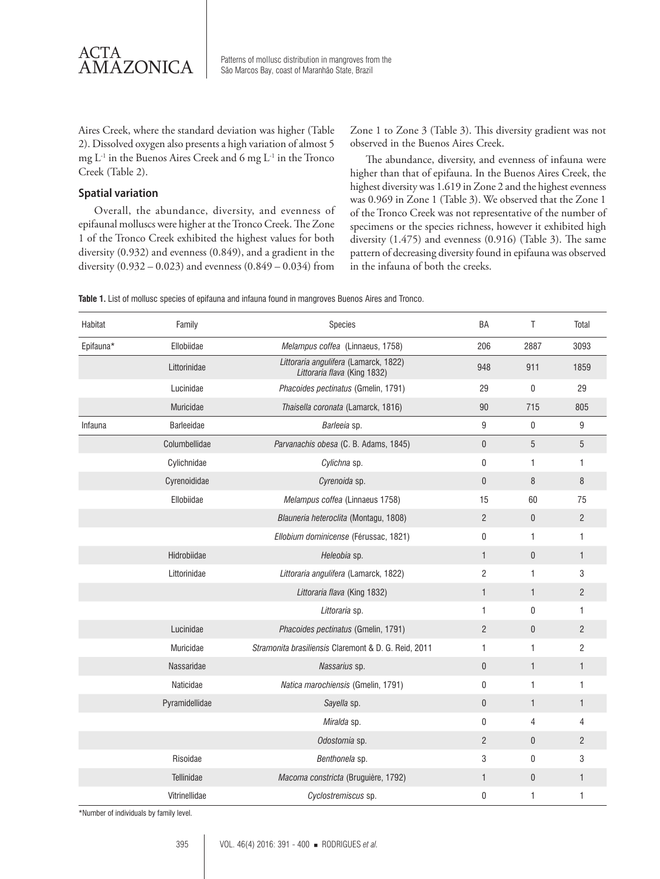

 $AMAZONICA$  Patterns of mollusc distribution in mangroves from the São Marcos Bay, coast of Maranhão State, Brazil

Aires Creek, where the standard deviation was higher (Table 2). Dissolved oxygen also presents a high variation of almost 5 mg L-1 in the Buenos Aires Creek and 6 mg L-1 in the Tronco Creek (Table 2).

#### **Spatial variation**

Overall, the abundance, diversity, and evenness of epifaunal molluscs were higher at the Tronco Creek. The Zone 1 of the Tronco Creek exhibited the highest values for both diversity (0.932) and evenness (0.849), and a gradient in the diversity  $(0.932 - 0.023)$  and evenness  $(0.849 - 0.034)$  from

Zone 1 to Zone 3 (Table 3). This diversity gradient was not observed in the Buenos Aires Creek.

The abundance, diversity, and evenness of infauna were higher than that of epifauna. In the Buenos Aires Creek, the highest diversity was 1.619 in Zone 2 and the highest evenness was 0.969 in Zone 1 (Table 3). We observed that the Zone 1 of the Tronco Creek was not representative of the number of specimens or the species richness, however it exhibited high diversity (1.475) and evenness (0.916) (Table 3). The same pattern of decreasing diversity found in epifauna was observed in the infauna of both the creeks.

| Habitat   | Family            | Species                                                               | BA             | T            | Total          |
|-----------|-------------------|-----------------------------------------------------------------------|----------------|--------------|----------------|
| Epifauna* | Ellobiidae        | Melampus coffea (Linnaeus, 1758)                                      | 206            | 2887         | 3093           |
|           | Littorinidae      | Littoraria angulifera (Lamarck, 1822)<br>Littoraria flava (King 1832) | 948            | 911          | 1859           |
|           | Lucinidae         | Phacoides pectinatus (Gmelin, 1791)                                   | 29             | 0            | 29             |
|           | Muricidae         | Thaisella coronata (Lamarck, 1816)                                    | 90             | 715          | 805            |
| Infauna   | <b>Barleeidae</b> | Barleeia sp.                                                          | 9              | 0            | 9              |
|           | Columbellidae     | Parvanachis obesa (C. B. Adams, 1845)                                 | 0              | 5            | $\overline{5}$ |
|           | Cylichnidae       | Cylichna sp.                                                          | 0              | 1            | 1              |
|           | Cyrenoididae      | Cyrenoida sp.                                                         | $\overline{0}$ | 8            | 8              |
|           | Ellobiidae        | Melampus coffea (Linnaeus 1758)                                       | 15             | 60           | 75             |
|           |                   | Blauneria heteroclita (Montagu, 1808)                                 | $\overline{2}$ | $\mathbf{0}$ | $\overline{2}$ |
|           |                   | Ellobium dominicense (Férussac, 1821)                                 | 0              | $\mathbf{1}$ | 1              |
|           | Hidrobiidae       | Heleobia sp.                                                          | $\mathbf{1}$   | $\mathbf 0$  | $\mathbf{1}$   |
|           | Littorinidae      | Littoraria angulifera (Lamarck, 1822)                                 | $\overline{c}$ | 1            | 3              |
|           |                   | Littoraria flava (King 1832)                                          | $\mathbf{1}$   | $\mathbf{1}$ | $\overline{2}$ |
|           |                   | Littoraria sp.                                                        | 1              | 0            | 1              |
|           | Lucinidae         | Phacoides pectinatus (Gmelin, 1791)                                   | $\overline{c}$ | $\mathbf{0}$ | $\overline{2}$ |
|           | Muricidae         | Stramonita brasiliensis Claremont & D. G. Reid, 2011                  | 1              | $\mathbf{1}$ | $\overline{2}$ |
|           | Nassaridae        | Nassarius sp.                                                         | $\overline{0}$ | $\mathbf{1}$ | $\mathbf{1}$   |
|           | Naticidae         | Natica marochiensis (Gmelin, 1791)                                    | 0              | $\mathbf{1}$ | 1              |
|           | Pyramidellidae    | Sayella sp.                                                           | $\overline{0}$ | $\mathbf{1}$ | 1              |
|           |                   | Miralda sp.                                                           | 0              | 4            | 4              |
|           |                   | Odostomia sp.                                                         | $\overline{c}$ | 0            | $\overline{2}$ |
|           | Risoidae          | Benthonela sp.                                                        | 3              | $\mathbf{0}$ | 3              |
|           | Tellinidae        | Macoma constricta (Bruguière, 1792)                                   | $\mathbf{1}$   | $\mathbf{0}$ | 1              |
|           | Vitrinellidae     | Cyclostremiscus sp.                                                   | 0              | 1            | 1              |

**Table 1.** List of mollusc species of epifauna and infauna found in mangroves Buenos Aires and Tronco.

\*Number of individuals by family level.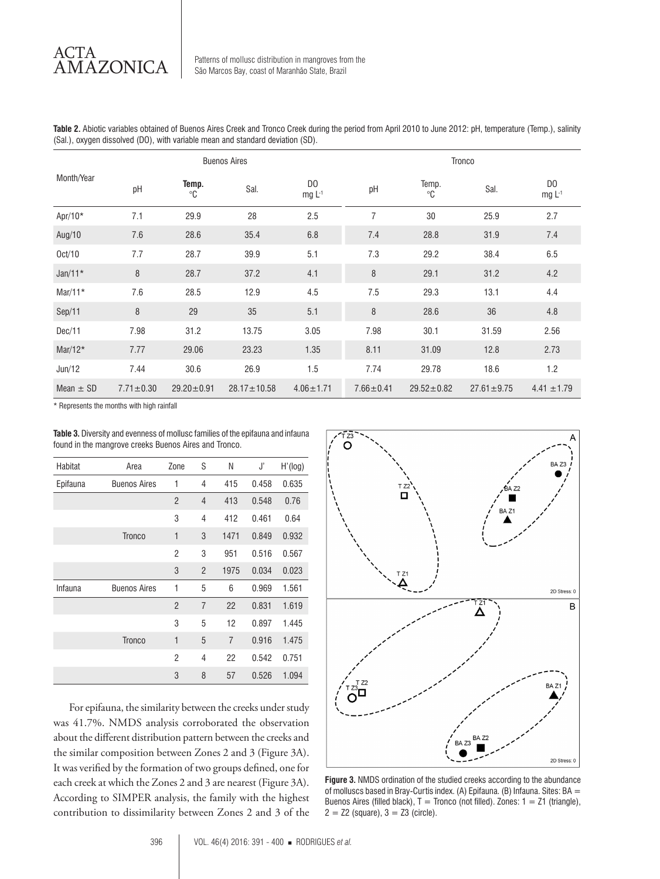Patterns of mollusc distribution in mangroves from the São Marcos Bay, coast of Maranhão State, Brazil

**Table 2.** Abiotic variables obtained of Buenos Aires Creek and Tronco Creek during the period from April 2010 to June 2012: pH, temperature (Temp.), salinity (Sal.), oxygen dissolved (DO), with variable mean and standard deviation (SD).

|               | <b>Buenos Aires</b> |                      |                   | Tronco                    |                 |                      |                  |                           |
|---------------|---------------------|----------------------|-------------------|---------------------------|-----------------|----------------------|------------------|---------------------------|
| Month/Year    | pH                  | Temp.<br>$^{\circ}C$ | Sal.              | D <sub>0</sub><br>$mgL-1$ | pH              | Temp.<br>$^{\circ}C$ | Sal.             | D <sub>0</sub><br>$mgL-1$ |
| Apr/10*       | 7.1                 | 29.9                 | 28                | 2.5                       | 7               | 30                   | 25.9             | 2.7                       |
| Aug/10        | 7.6                 | 28.6                 | 35.4              | 6.8                       | 7.4             | 28.8                 | 31.9             | 7.4                       |
| Oct/10        | 7.7                 | 28.7                 | 39.9              | 5.1                       | 7.3             | 29.2                 | 38.4             | 6.5                       |
| $Jan/11*$     | 8                   | 28.7                 | 37.2              | 4.1                       | 8               | 29.1                 | 31.2             | 4.2                       |
| Mar/11 $*$    | 7.6                 | 28.5                 | 12.9              | 4.5                       | 7.5             | 29.3                 | 13.1             | 4.4                       |
| Sep/11        | 8                   | 29                   | 35                | 5.1                       | 8               | 28.6                 | 36               | 4.8                       |
| Dec/11        | 7.98                | 31.2                 | 13.75             | 3.05                      | 7.98            | 30.1                 | 31.59            | 2.56                      |
| Mar/12 $*$    | 7.77                | 29.06                | 23.23             | 1.35                      | 8.11            | 31.09                | 12.8             | 2.73                      |
| Jun/12        | 7.44                | 30.6                 | 26.9              | 1.5                       | 7.74            | 29.78                | 18.6             | 1.2                       |
| Mean $\pm$ SD | $7.71 \pm 0.30$     | $29.20 \pm 0.91$     | $28.17 \pm 10.58$ | $4.06 \pm 1.71$           | $7.66 \pm 0.41$ | $29.52 \pm 0.82$     | $27.61 \pm 9.75$ | $4.41 \pm 1.79$           |

\* Represents the months with high rainfall

**Table 3.** Diversity and evenness of mollusc families of the epifauna and infauna found in the mangrove creeks Buenos Aires and Tronco.

| Habitat  | Area                | Zone           | S              | Ν    | J,    | H'(log) |
|----------|---------------------|----------------|----------------|------|-------|---------|
| Epifauna | <b>Buenos Aires</b> | 1              | 4              | 415  | 0.458 | 0.635   |
|          |                     | $\overline{2}$ | $\overline{4}$ | 413  | 0.548 | 0.76    |
|          |                     | 3              | $\overline{4}$ | 412  | 0.461 | 0.64    |
|          | <b>Tronco</b>       | $\mathbf{1}$   | 3              | 1471 | 0.849 | 0.932   |
|          |                     | $\overline{c}$ | 3              | 951  | 0.516 | 0.567   |
|          |                     | 3              | $\overline{2}$ | 1975 | 0.034 | 0.023   |
| Infauna  | <b>Buenos Aires</b> | 1              | 5              | 6    | 0.969 | 1.561   |
|          |                     | $\overline{2}$ | $\overline{7}$ | 22   | 0.831 | 1.619   |
|          |                     | 3              | 5              | 12   | 0.897 | 1.445   |
|          | <b>Tronco</b>       | $\mathbf{1}$   | 5              | 7    | 0.916 | 1.475   |
|          |                     | $\overline{2}$ | $\overline{4}$ | 22   | 0.542 | 0.751   |
|          |                     | 3              | 8              | 57   | 0.526 | 1.094   |

For epifauna, the similarity between the creeks under study was 41.7%. NMDS analysis corroborated the observation about the different distribution pattern between the creeks and the similar composition between Zones 2 and 3 (Figure 3A). It was verified by the formation of two groups defined, one for each creek at which the Zones 2 and 3 are nearest (Figure 3A). According to SIMPER analysis, the family with the highest contribution to dissimilarity between Zones 2 and 3 of the



**Figure 3.** NMDS ordination of the studied creeks according to the abundance of molluscs based in Bray-Curtis index. (A) Epifauna. (B) Infauna. Sites:  $BA =$ Buenos Aires (filled black),  $T =$  Tronco (not filled). Zones:  $1 =$  Z1 (triangle),  $2 = 22$  (square),  $3 = 23$  (circle).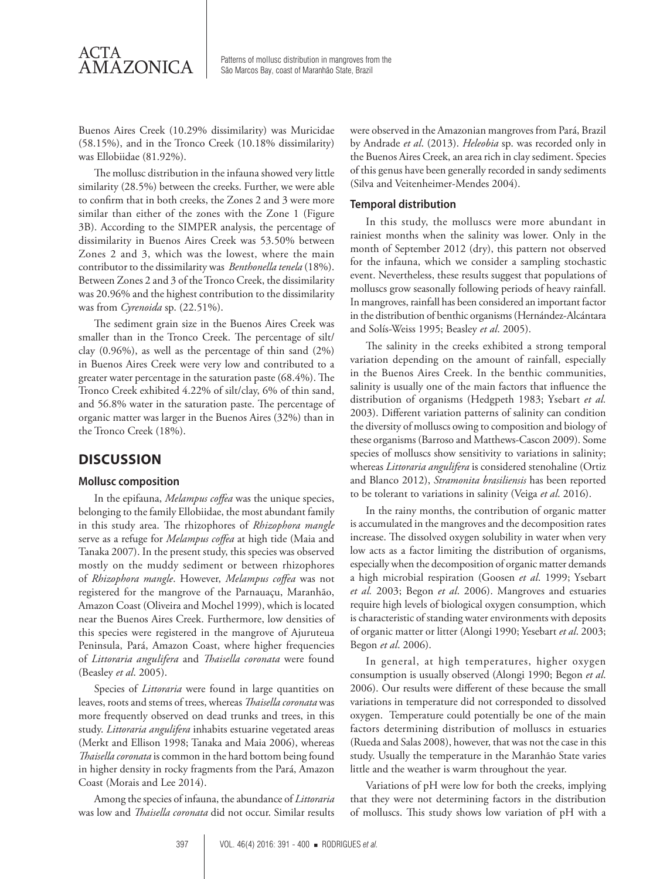

 $AMAZONICA$  Patterns of mollusc distribution in mangroves from the São Marcos Bay, coast of Maranhão State, Brazil

Buenos Aires Creek (10.29% dissimilarity) was Muricidae (58.15%), and in the Tronco Creek (10.18% dissimilarity) was Ellobiidae (81.92%).

The mollusc distribution in the infauna showed very little similarity (28.5%) between the creeks. Further, we were able to confirm that in both creeks, the Zones 2 and 3 were more similar than either of the zones with the Zone 1 (Figure 3B). According to the SIMPER analysis, the percentage of dissimilarity in Buenos Aires Creek was 53.50% between Zones 2 and 3, which was the lowest, where the main contributor to the dissimilarity was *Benthonella tenela* (18%). Between Zones 2 and 3 of the Tronco Creek, the dissimilarity was 20.96% and the highest contribution to the dissimilarity was from *Cyrenoida* sp. (22.51%).

The sediment grain size in the Buenos Aires Creek was smaller than in the Tronco Creek. The percentage of silt/ clay (0.96%), as well as the percentage of thin sand (2%) in Buenos Aires Creek were very low and contributed to a greater water percentage in the saturation paste (68.4%). The Tronco Creek exhibited 4.22% of silt/clay, 6% of thin sand, and 56.8% water in the saturation paste. The percentage of organic matter was larger in the Buenos Aires (32%) than in the Tronco Creek (18%).

## **DISCUSSION**

#### **Mollusc composition**

In the epifauna, *Melampus coffea* was the unique species, belonging to the family Ellobiidae, the most abundant family in this study area. The rhizophores of *Rhizophora mangle* serve as a refuge for *Melampus coffea* at high tide (Maia and Tanaka 2007). In the present study, this species was observed mostly on the muddy sediment or between rhizophores of *Rhizophora mangle*. However, *Melampus coffea* was not registered for the mangrove of the Parnauaçu, Maranhão, Amazon Coast (Oliveira and Mochel 1999), which is located near the Buenos Aires Creek. Furthermore, low densities of this species were registered in the mangrove of Ajuruteua Peninsula, Pará, Amazon Coast, where higher frequencies of *Littoraria angulifera* and *Thaisella coronata* were found (Beasley *et al*. 2005).

Species of *Littoraria* were found in large quantities on leaves, roots and stems of trees, whereas *Thaisella coronata* was more frequently observed on dead trunks and trees, in this study. *Littoraria angulifera* inhabits estuarine vegetated areas (Merkt and Ellison 1998; Tanaka and Maia 2006), whereas *Thaisella coronata* is common in the hard bottom being found in higher density in rocky fragments from the Pará, Amazon Coast (Morais and Lee 2014).

Among the species of infauna, the abundance of *Littoraria* was low and *Thaisella coronata* did not occur. Similar results were observed in the Amazonian mangroves from Pará, Brazil by Andrade *et al*. (2013). *Heleobia* sp. was recorded only in the Buenos Aires Creek, an area rich in clay sediment. Species of this genus have been generally recorded in sandy sediments (Silva and Veitenheimer-Mendes 2004).

#### **Temporal distribution**

In this study, the molluscs were more abundant in rainiest months when the salinity was lower. Only in the month of September 2012 (dry), this pattern not observed for the infauna, which we consider a sampling stochastic event. Nevertheless, these results suggest that populations of molluscs grow seasonally following periods of heavy rainfall. In mangroves, rainfall has been considered an important factor in the distribution of benthic organisms (Hernández-Alcántara and Solís-Weiss 1995; Beasley *et al*. 2005).

The salinity in the creeks exhibited a strong temporal variation depending on the amount of rainfall, especially in the Buenos Aires Creek. In the benthic communities, salinity is usually one of the main factors that influence the distribution of organisms (Hedgpeth 1983; Ysebart *et al.* 2003). Different variation patterns of salinity can condition the diversity of molluscs owing to composition and biology of these organisms (Barroso and Matthews-Cascon 2009). Some species of molluscs show sensitivity to variations in salinity; whereas *Littoraria angulifera* is considered stenohaline (Ortiz and Blanco 2012), *Stramonita brasiliensis* has been reported to be tolerant to variations in salinity (Veiga *et al*. 2016).

In the rainy months, the contribution of organic matter is accumulated in the mangroves and the decomposition rates increase. The dissolved oxygen solubility in water when very low acts as a factor limiting the distribution of organisms, especially when the decomposition of organic matter demands a high microbial respiration (Goosen *et al*. 1999; Ysebart *et al.* 2003; Begon *et al*. 2006). Mangroves and estuaries require high levels of biological oxygen consumption, which is characteristic of standing water environments with deposits of organic matter or litter (Alongi 1990; Yesebart *et al*. 2003; Begon *et al*. 2006).

In general, at high temperatures, higher oxygen consumption is usually observed (Alongi 1990; Begon *et al*. 2006). Our results were different of these because the small variations in temperature did not corresponded to dissolved oxygen. Temperature could potentially be one of the main factors determining distribution of molluscs in estuaries (Rueda and Salas 2008), however, that was not the case in this study. Usually the temperature in the Maranhão State varies little and the weather is warm throughout the year.

Variations of pH were low for both the creeks, implying that they were not determining factors in the distribution of molluscs. This study shows low variation of pH with a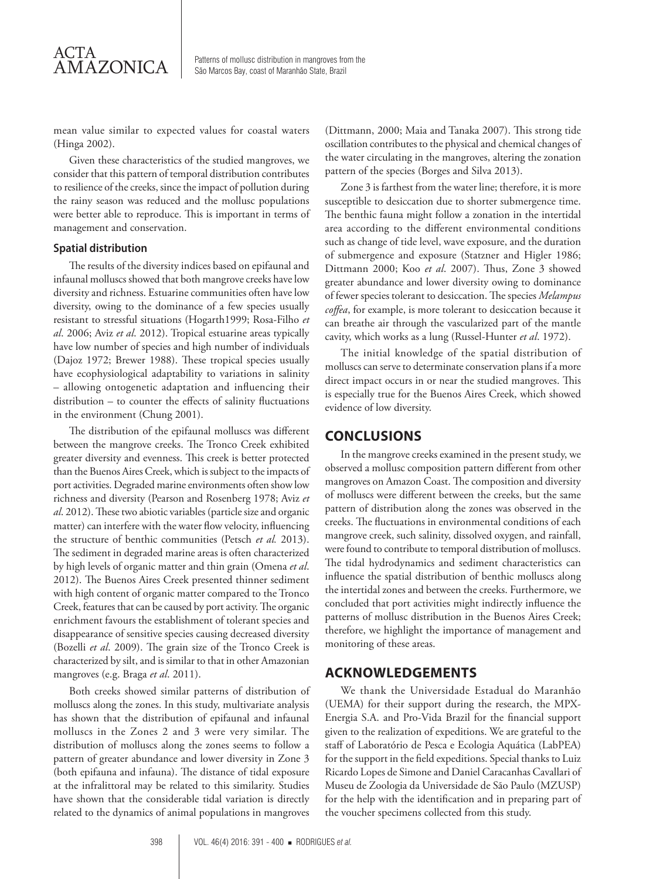mean value similar to expected values for coastal waters (Hinga 2002).

Given these characteristics of the studied mangroves, we consider that this pattern of temporal distribution contributes to resilience of the creeks, since the impact of pollution during the rainy season was reduced and the mollusc populations were better able to reproduce. This is important in terms of management and conservation.

#### **Spatial distribution**

The results of the diversity indices based on epifaunal and infaunal molluscs showed that both mangrove creeks have low diversity and richness. Estuarine communities often have low diversity, owing to the dominance of a few species usually resistant to stressful situations (Hogarth1999; Rosa-Filho *et al*. 2006; Aviz *et al*. 2012). Tropical estuarine areas typically have low number of species and high number of individuals (Dajoz 1972; Brewer 1988). These tropical species usually have ecophysiological adaptability to variations in salinity – allowing ontogenetic adaptation and influencing their distribution – to counter the effects of salinity fluctuations in the environment (Chung 2001).

The distribution of the epifaunal molluscs was different between the mangrove creeks. The Tronco Creek exhibited greater diversity and evenness. This creek is better protected than the Buenos Aires Creek, which is subject to the impacts of port activities. Degraded marine environments often show low richness and diversity (Pearson and Rosenberg 1978; Aviz *et al*. 2012). These two abiotic variables (particle size and organic matter) can interfere with the water flow velocity, influencing the structure of benthic communities (Petsch *et al.* 2013). The sediment in degraded marine areas is often characterized by high levels of organic matter and thin grain (Omena *et al*. 2012). The Buenos Aires Creek presented thinner sediment with high content of organic matter compared to the Tronco Creek, features that can be caused by port activity. The organic enrichment favours the establishment of tolerant species and disappearance of sensitive species causing decreased diversity (Bozelli *et al*. 2009). The grain size of the Tronco Creek is characterized by silt, and is similar to that in other Amazonian mangroves (e.g. Braga *et al*. 2011).

Both creeks showed similar patterns of distribution of molluscs along the zones. In this study, multivariate analysis has shown that the distribution of epifaunal and infaunal molluscs in the Zones 2 and 3 were very similar. The distribution of molluscs along the zones seems to follow a pattern of greater abundance and lower diversity in Zone 3 (both epifauna and infauna). The distance of tidal exposure at the infralittoral may be related to this similarity. Studies have shown that the considerable tidal variation is directly related to the dynamics of animal populations in mangroves (Dittmann, 2000; Maia and Tanaka 2007). This strong tide oscillation contributes to the physical and chemical changes of the water circulating in the mangroves, altering the zonation pattern of the species (Borges and Silva 2013).

Zone 3 is farthest from the water line; therefore, it is more susceptible to desiccation due to shorter submergence time. The benthic fauna might follow a zonation in the intertidal area according to the different environmental conditions such as change of tide level, wave exposure, and the duration of submergence and exposure (Statzner and Higler 1986; Dittmann 2000; Koo *et al*. 2007). Thus, Zone 3 showed greater abundance and lower diversity owing to dominance of fewer species tolerant to desiccation. The species *Melampus coffea*, for example, is more tolerant to desiccation because it can breathe air through the vascularized part of the mantle cavity, which works as a lung (Russel-Hunter *et al*. 1972).

The initial knowledge of the spatial distribution of molluscs can serve to determinate conservation plans if a more direct impact occurs in or near the studied mangroves. This is especially true for the Buenos Aires Creek, which showed evidence of low diversity.

### **CONCLUSIONS**

In the mangrove creeks examined in the present study, we observed a mollusc composition pattern different from other mangroves on Amazon Coast. The composition and diversity of molluscs were different between the creeks, but the same pattern of distribution along the zones was observed in the creeks. The fluctuations in environmental conditions of each mangrove creek, such salinity, dissolved oxygen, and rainfall, were found to contribute to temporal distribution of molluscs. The tidal hydrodynamics and sediment characteristics can influence the spatial distribution of benthic molluscs along the intertidal zones and between the creeks. Furthermore, we concluded that port activities might indirectly influence the patterns of mollusc distribution in the Buenos Aires Creek; therefore, we highlight the importance of management and monitoring of these areas.

## **ACKNOWLEDGEMENTS**

We thank the Universidade Estadual do Maranhão (UEMA) for their support during the research, the MPX-Energia S.A. and Pro-Vida Brazil for the financial support given to the realization of expeditions. We are grateful to the staff of Laboratório de Pesca e Ecologia Aquática (LabPEA) for the support in the field expeditions. Special thanks to Luiz Ricardo Lopes de Simone and Daniel Caracanhas Cavallari of Museu de Zoologia da Universidade de São Paulo (MZUSP) for the help with the identification and in preparing part of the voucher specimens collected from this study.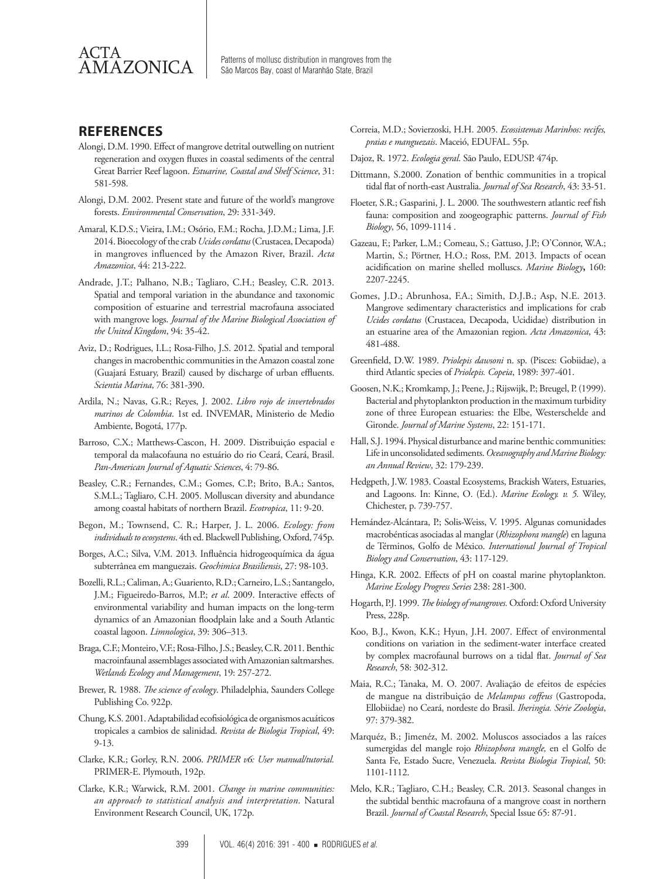

 $\overline{\text{AMAZONICA}}$  Patterns of mollusc distribution in mangroves from the São Marcos Bay, coast of Maranhão State, Brazil

## **REFERENCES**

- Alongi, D.M. 1990. Effect of mangrove detrital outwelling on nutrient regeneration and oxygen fluxes in coastal sediments of the central Great Barrier Reef lagoon. *Estuarine, Coastal and Shelf Science*, 31: 581-598.
- Alongi, D.M. 2002. Present state and future of the world's mangrove forests. *Environmental Conservation*, 29: 331-349.
- Amaral, K.D.S.; Vieira, I.M.; Osório, F.M.; Rocha, J.D.M.; Lima, J.F. 2014. Bioecology of the crab *Ucides cordatus* (Crustacea, Decapoda) in mangroves influenced by the Amazon River, Brazil. *Acta Amazonica*, 44: 213-222.
- Andrade, J.T.; Palhano, N.B.; Tagliaro, C.H.; Beasley, C.R. 2013. Spatial and temporal variation in the abundance and taxonomic composition of estuarine and terrestrial macrofauna associated with mangrove logs. *Journal of the Marine Biological Association of the United Kingdom*, 94: 35-42.
- Aviz, D.; Rodrigues, I.L.; Rosa-Filho, J.S. 2012. Spatial and temporal changes in macrobenthic communities in the Amazon coastal zone (Guajará Estuary, Brazil) caused by discharge of urban effluents. *Scientia Marina*, 76: 381-390.
- Ardila, N.; Navas, G.R.; Reyes, J. 2002. *Libro rojo de invertebrados marinos de Colombia*. 1st ed. INVEMAR, Ministerio de Medio Ambiente, Bogotá, 177p.
- Barroso, C.X.; Matthews-Cascon, H. 2009. Distribuição espacial e temporal da malacofauna no estuário do rio Ceará, Ceará, Brasil. *Pan-American Journal of Aquatic Sciences*, 4: 79-86.
- Beasley, C.R.; Fernandes, C.M.; Gomes, C.P.; Brito, B.A.; Santos, S.M.L.; Tagliaro, C.H. 2005. Molluscan diversity and abundance among coastal habitats of northern Brazil. *Ecotropica*, 11: 9-20.
- Begon, M.; Townsend, C. R.; Harper, J. L. 2006. *Ecology: from individuals to ecosystems*. 4th ed. Blackwell Publishing, Oxford, 745p.
- Borges, A.C.; Silva, V.M. 2013. Influência hidrogeoquímica da água subterrânea em manguezais. *Geochimica Brasiliensis*, 27: 98-103.
- Bozelli, R.L.; Caliman, A.; Guariento, R.D.; Carneiro, L.S.; Santangelo, J.M.; Figueiredo-Barros, M.P.; *et al*. 2009. Interactive effects of environmental variability and human impacts on the long-term dynamics of an Amazonian floodplain lake and a South Atlantic coastal lagoon. *Limnologica*, 39: 306–313.
- Braga, C.F.; Monteiro, V.F.; Rosa-Filho, J.S.; Beasley, C.R. 2011. Benthic macroinfaunal assemblages associated with Amazonian saltmarshes. *Wetlands Ecology and Management*, 19: 257-272.
- Brewer, R. 1988. *The science of ecology*. Philadelphia, Saunders College Publishing Co. 922p.
- Chung, K.S. 2001. Adaptabilidad ecofisiológica de organismos acuáticos tropicales a cambios de salinidad. *Revista de Biologia Tropical*, 49: 9-13.
- Clarke, K.R.; Gorley, R.N. 2006. *PRIMER v6: User manual/tutorial.*  PRIMER-E. Plymouth, 192p.
- Clarke, K.R.; Warwick, R.M. 2001. *Change in marine communities: an approach to statistical analysis and interpretation*. Natural Environment Research Council, UK, 172p.
- Correia, M.D.; Sovierzoski, H.H. 2005. *Ecossistemas Marinhos: recifes, praias e manguezais*. Maceió, EDUFAL. 55p.
- Dajoz, R. 1972. *Ecologia geral*. São Paulo, EDUSP. 474p.
- Dittmann, S.2000. Zonation of benthic communities in a tropical tidal flat of north-east Australia. *Journal of Sea Research*, 43: 33-51.
- Floeter, S.R.; Gasparini, J. L. 2000. The southwestern atlantic reef fish fauna: composition and zoogeographic patterns. *Journal of Fish Biology*, 56, 1099-1114 .
- Gazeau, F.; Parker, L.M.; Comeau, S.; Gattuso, J.P.; O'Connor, W.A.; Martin, S.; Pörtner, H.O.; Ross, P.M. 2013. Impacts of ocean acidification on marine shelled molluscs. *Marine Biology***,** 160: 2207-2245.
- Gomes, J.D.; Abrunhosa, F.A.; Simith, D.J.B.; Asp, N.E. 2013. Mangrove sedimentary characteristics and implications for crab *Ucides cordatus* (Crustacea, Decapoda, Ucididae) distribution in an estuarine area of the Amazonian region. *Acta Amazonica*, 43: 481-488.
- Greenfield, D.W. 1989. *Priolepis dawsoni* n. sp. (Pisces: Gobiidae), a third Atlantic species of *Priolepis. Copeia*, 1989: 397-401.
- Goosen, N.K.; Kromkamp, J.; Peene, J.; Rijswijk, P.; Breugel, P. (1999). Bacterial and phytoplankton production in the maximum turbidity zone of three European estuaries: the Elbe, Westerschelde and Gironde. *Journal of Marine Systems*, 22: 151-171.
- Hall, S.J. 1994. Physical disturbance and marine benthic communities: Life in unconsolidated sediments. *Oceanography and Marine Biology: an Annual Review*, 32: 179-239.
- Hedgpeth, J.W. 1983. Coastal Ecosystems, Brackish Waters, Estuaries, and Lagoons. In: Kinne, O. (Ed.). *Marine Ecology. v. 5.* Wiley, Chichester, p. 739-757.
- Hemández-Alcántara, P.; Solis-Weiss, V. 1995. Algunas comunidades macrobénticas asociadas al manglar (*Rhizophora mangle*) en laguna de Términos, Golfo de México. *International Journal of Tropical Biology and Conservation*, 43: 117-129.
- Hinga, K.R. 2002. Effects of pH on coastal marine phytoplankton. *Marine Ecology Progress Series* 238: 281-300.
- Hogarth, P.J. 1999. *The biology of mangroves.* Oxford: Oxford University Press, 228p.
- Koo, B.J., Kwon, K.K.; Hyun, J.H. 2007. Effect of environmental conditions on variation in the sediment-water interface created by complex macrofaunal burrows on a tidal flat. *Journal of Sea Research*, 58: 302-312.
- Maia, R.C.; Tanaka, M. O. 2007. Avaliação de efeitos de espécies de mangue na distribuição de *Melampus coffeus* (Gastropoda, Ellobiidae) no Ceará, nordeste do Brasil. *Iheringia. Série Zoologia*, 97: 379-382.
- Marquéz, B.; Jimenéz, M. 2002. Moluscos associados a las raíces sumergidas del mangle rojo *Rhizophora mangle,* en el Golfo de Santa Fe, Estado Sucre, Venezuela. *Revista Biologia Tropical*, 50: 1101-1112.
- Melo, K.R.; Tagliaro, C.H.; Beasley, C.R. 2013. Seasonal changes in the subtidal benthic macrofauna of a mangrove coast in northern Brazil. *Journal of Coastal Research*, Special Issue 65: 87-91.